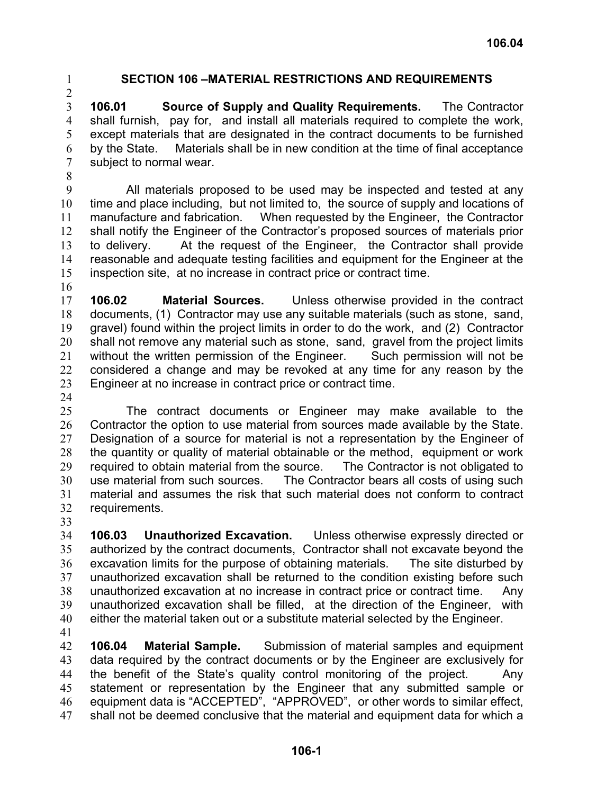$\mathcal{L}$ 

## 1 **SECTION 106 –MATERIAL RESTRICTIONS AND REQUIREMENTS**

3 4 5 6 7 **106.01 Source of Supply and Quality Requirements.** The Contractor shall furnish, pay for, and install all materials required to complete the work, except materials that are designated in the contract documents to be furnished by the State. Materials shall be in new condition at the time of final acceptance subject to normal wear.

8

9 10 11 12 13 14 15 All materials proposed to be used may be inspected and tested at any time and place including, but not limited to, the source of supply and locations of manufacture and fabrication. When requested by the Engineer, the Contractor shall notify the Engineer of the Contractor's proposed sources of materials prior to delivery. At the request of the Engineer, the Contractor shall provide reasonable and adequate testing facilities and equipment for the Engineer at the inspection site, at no increase in contract price or contract time.

16

17 18 19 20 21 22 23 **106.02 Material Sources.** Unless otherwise provided in the contract documents, (1) Contractor may use any suitable materials (such as stone, sand, gravel) found within the project limits in order to do the work, and (2) Contractor shall not remove any material such as stone, sand, gravel from the project limits without the written permission of the Engineer. Such permission will not be considered a change and may be revoked at any time for any reason by the Engineer at no increase in contract price or contract time.

24

25 26 27 28 29 30 31 32 The contract documents or Engineer may make available to the Contractor the option to use material from sources made available by the State. Designation of a source for material is not a representation by the Engineer of the quantity or quality of material obtainable or the method, equipment or work required to obtain material from the source. The Contractor is not obligated to use material from such sources. The Contractor bears all costs of using such material and assumes the risk that such material does not conform to contract requirements.

33

34 35 36 37 38 39 40 **106.03 Unauthorized Excavation.** Unless otherwise expressly directed or authorized by the contract documents, Contractor shall not excavate beyond the excavation limits for the purpose of obtaining materials. The site disturbed by unauthorized excavation shall be returned to the condition existing before such unauthorized excavation at no increase in contract price or contract time. Any unauthorized excavation shall be filled, at the direction of the Engineer, with either the material taken out or a substitute material selected by the Engineer.

41

42 43 44 45 46 47 **106.04 Material Sample.** Submission of material samples and equipment data required by the contract documents or by the Engineer are exclusively for the benefit of the State's quality control monitoring of the project. Any statement or representation by the Engineer that any submitted sample or equipment data is "ACCEPTED", "APPROVED", or other words to similar effect, shall not be deemed conclusive that the material and equipment data for which a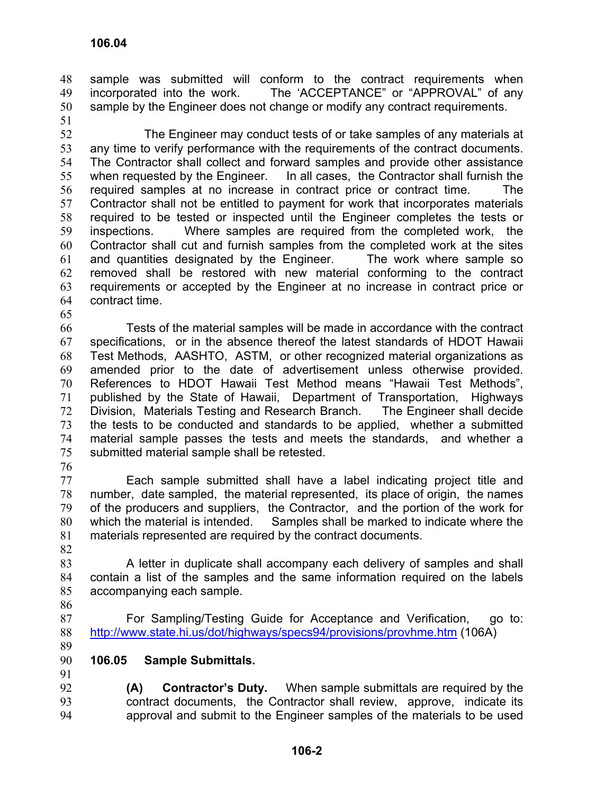sample was submitted will conform to the contract requirements when incorporated into the work. The 'ACCEPTANCE" or "APPROVAL" of any sample by the Engineer does not change or modify any contract requirements. 48 49 50

51

52 53 54 55 56 57 58 59 60 61 62 63 64 The Engineer may conduct tests of or take samples of any materials at any time to verify performance with the requirements of the contract documents. The Contractor shall collect and forward samples and provide other assistance when requested by the Engineer. In all cases, the Contractor shall furnish the required samples at no increase in contract price or contract time. The Contractor shall not be entitled to payment for work that incorporates materials required to be tested or inspected until the Engineer completes the tests or inspections. Where samples are required from the completed work, the Contractor shall cut and furnish samples from the completed work at the sites and quantities designated by the Engineer. The work where sample so removed shall be restored with new material conforming to the contract requirements or accepted by the Engineer at no increase in contract price or contract time.

65

66 67 68 69 70 71 72 73 74 75 Tests of the material samples will be made in accordance with the contract specifications, or in the absence thereof the latest standards of HDOT Hawaii Test Methods, AASHTO, ASTM, or other recognized material organizations as amended prior to the date of advertisement unless otherwise provided. References to HDOT Hawaii Test Method means "Hawaii Test Methods", published by the State of Hawaii, Department of Transportation, Highways Division, Materials Testing and Research Branch. The Engineer shall decide the tests to be conducted and standards to be applied, whether a submitted material sample passes the tests and meets the standards, and whether a submitted material sample shall be retested.

76

77 78 79 80 81 Each sample submitted shall have a label indicating project title and number, date sampled, the material represented, its place of origin, the names of the producers and suppliers, the Contractor, and the portion of the work for which the material is intended. Samples shall be marked to indicate where the materials represented are required by the contract documents.

82

83 84 85 86 A letter in duplicate shall accompany each delivery of samples and shall contain a list of the samples and the same information required on the labels accompanying each sample.

For Sampling/Testing Guide for Acceptance and Verification, go to: 88 <http://www.state.hi.us/dot/highways/specs94/provisions/provhme.htm> (106A)

89

87

90 91 **106.05 Sample Submittals.** 

92 93 94 **(A) Contractor's Duty.** When sample submittals are required by the contract documents, the Contractor shall review, approve, indicate its approval and submit to the Engineer samples of the materials to be used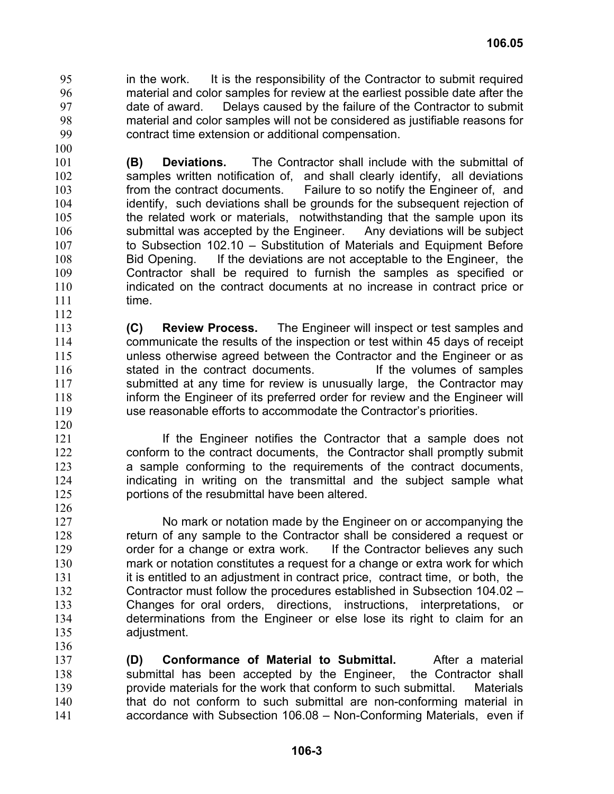in the work. It is the responsibility of the Contractor to submit required material and color samples for review at the earliest possible date after the date of award. Delays caused by the failure of the Contractor to submit material and color samples will not be considered as justifiable reasons for contract time extension or additional compensation. 95 96 97 98 99

101 102 103 104 105 106 107 108 109 110 111 **(B) Deviations.** The Contractor shall include with the submittal of samples written notification of, and shall clearly identify, all deviations from the contract documents. Failure to so notify the Engineer of, and identify, such deviations shall be grounds for the subsequent rejection of the related work or materials, notwithstanding that the sample upon its submittal was accepted by the Engineer. Any deviations will be subject to Subsection 102.10 – Substitution of Materials and Equipment Before Bid Opening. If the deviations are not acceptable to the Engineer, the Contractor shall be required to furnish the samples as specified or indicated on the contract documents at no increase in contract price or time.

113 114 115 116 117 118 119 **(C) Review Process.** The Engineer will inspect or test samples and communicate the results of the inspection or test within 45 days of receipt unless otherwise agreed between the Contractor and the Engineer or as stated in the contract documents. If the volumes of samples submitted at any time for review is unusually large, the Contractor may inform the Engineer of its preferred order for review and the Engineer will use reasonable efforts to accommodate the Contractor's priorities.

120 121

136

112

100

If the Engineer notifies the Contractor that a sample does not conform to the contract documents, the Contractor shall promptly submit a sample conforming to the requirements of the contract documents, indicating in writing on the transmittal and the subject sample what portions of the resubmittal have been altered.

127 128 129 130 131 132 133 134 135 No mark or notation made by the Engineer on or accompanying the return of any sample to the Contractor shall be considered a request or order for a change or extra work. If the Contractor believes any such mark or notation constitutes a request for a change or extra work for which it is entitled to an adjustment in contract price, contract time, or both, the Contractor must follow the procedures established in Subsection 104.02 – Changes for oral orders, directions, instructions, interpretations, or determinations from the Engineer or else lose its right to claim for an adjustment.

137 138 139 140 141 **(D) Conformance of Material to Submittal.** After a material submittal has been accepted by the Engineer, the Contractor shall provide materials for the work that conform to such submittal. Materials that do not conform to such submittal are non-conforming material in accordance with Subsection 106.08 – Non-Conforming Materials, even if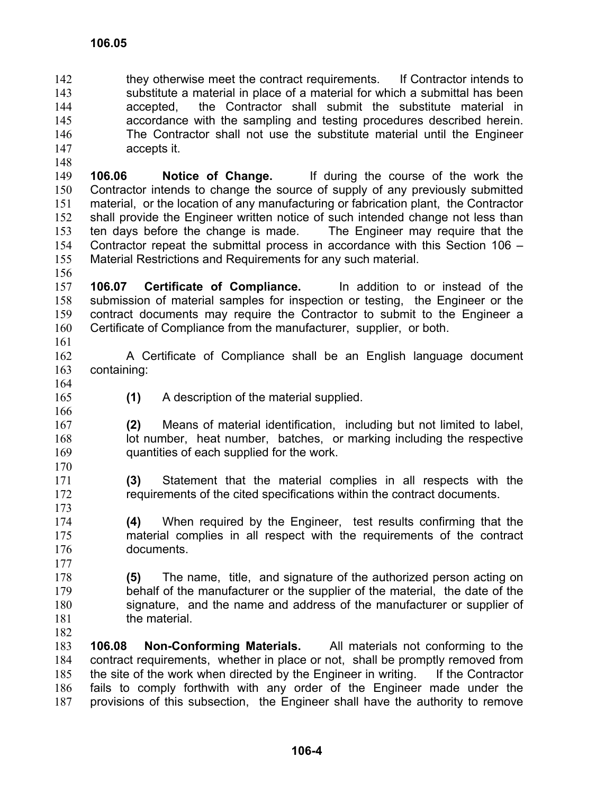they otherwise meet the contract requirements. If Contractor intends to substitute a material in place of a material for which a submittal has been accepted, the Contractor shall submit the substitute material in accordance with the sampling and testing procedures described herein. The Contractor shall not use the substitute material until the Engineer accepts it. 142 143 144 145 146 147

149 150 151 152 153 154 155 **106.06 Notice of Change.** If during the course of the work the Contractor intends to change the source of supply of any previously submitted material, or the location of any manufacturing or fabrication plant, the Contractor shall provide the Engineer written notice of such intended change not less than ten days before the change is made. The Engineer may require that the Contractor repeat the submittal process in accordance with this Section 106 – Material Restrictions and Requirements for any such material.

156

148

157 158 159 160 161 **106.07 Certificate of Compliance.** In addition to or instead of the submission of material samples for inspection or testing, the Engineer or the contract documents may require the Contractor to submit to the Engineer a Certificate of Compliance from the manufacturer, supplier, or both.

- 162 163 A Certificate of Compliance shall be an English language document containing:
- 164 165 166
- **(1)** A description of the material supplied.

167 168 169 170 **(2)** Means of material identification, including but not limited to label, lot number, heat number, batches, or marking including the respective quantities of each supplied for the work.

- 171 172 173 **(3)** Statement that the material complies in all respects with the requirements of the cited specifications within the contract documents.
- 174 175 176 **(4)** When required by the Engineer, test results confirming that the material complies in all respect with the requirements of the contract documents.
- 177

178 179 180 181 **(5)** The name, title, and signature of the authorized person acting on behalf of the manufacturer or the supplier of the material, the date of the signature, and the name and address of the manufacturer or supplier of the material.

182

183 184 185 186 187 **106.08 Non-Conforming Materials.** All materials not conforming to the contract requirements, whether in place or not, shall be promptly removed from the site of the work when directed by the Engineer in writing. If the Contractor fails to comply forthwith with any order of the Engineer made under the provisions of this subsection, the Engineer shall have the authority to remove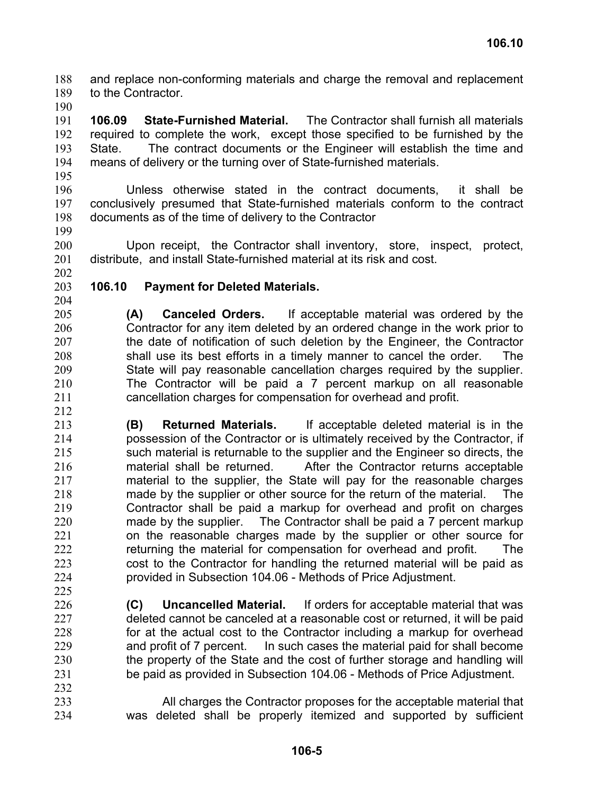and replace non-conforming materials and charge the removal and replacement to the Contractor. 188 189

190

191 192 193 194 195 **106.09 State-Furnished Material.** The Contractor shall furnish all materials required to complete the work, except those specified to be furnished by the State. The contract documents or the Engineer will establish the time and means of delivery or the turning over of State-furnished materials.

- 196 197 198 Unless otherwise stated in the contract documents, it shall be conclusively presumed that State-furnished materials conform to the contract documents as of the time of delivery to the Contractor
- 199 200 201 Upon receipt, the Contractor shall inventory, store, inspect, protect, distribute, and install State-furnished material at its risk and cost.
- 202

## 203 **106.10 Payment for Deleted Materials.**

- 204
- 205 206 207 208 209 210 211 212 **(A) Canceled Orders.** If acceptable material was ordered by the Contractor for any item deleted by an ordered change in the work prior to the date of notification of such deletion by the Engineer, the Contractor shall use its best efforts in a timely manner to cancel the order. The State will pay reasonable cancellation charges required by the supplier. The Contractor will be paid a 7 percent markup on all reasonable cancellation charges for compensation for overhead and profit.
- 213 214 215 216 217 218 219 220 221 222 223 224 **(B) Returned Materials.** If acceptable deleted material is in the possession of the Contractor or is ultimately received by the Contractor, if such material is returnable to the supplier and the Engineer so directs, the material shall be returned. After the Contractor returns acceptable material to the supplier, the State will pay for the reasonable charges made by the supplier or other source for the return of the material. The Contractor shall be paid a markup for overhead and profit on charges made by the supplier. The Contractor shall be paid a 7 percent markup on the reasonable charges made by the supplier or other source for returning the material for compensation for overhead and profit. The cost to the Contractor for handling the returned material will be paid as provided in Subsection 104.06 - Methods of Price Adjustment.
- 225 226 227 228 229 230 231 232 **(C) Uncancelled Material.** If orders for acceptable material that was deleted cannot be canceled at a reasonable cost or returned, it will be paid for at the actual cost to the Contractor including a markup for overhead and profit of 7 percent. In such cases the material paid for shall become the property of the State and the cost of further storage and handling will be paid as provided in Subsection 104.06 - Methods of Price Adjustment.
- 233 234 All charges the Contractor proposes for the acceptable material that was deleted shall be properly itemized and supported by sufficient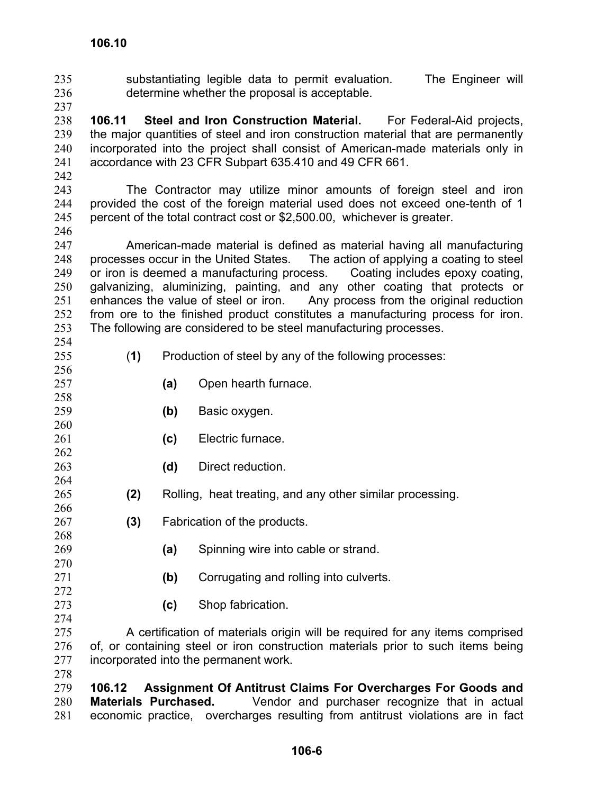substantiating legible data to permit evaluation. The Engineer will determine whether the proposal is acceptable. 235 236

238 239 240 241 **106.11 Steel and Iron Construction Material.** For Federal-Aid projects, the major quantities of steel and iron construction material that are permanently incorporated into the project shall consist of American-made materials only in accordance with 23 CFR Subpart 635.410 and 49 CFR 661.

242

237

243 244 245 The Contractor may utilize minor amounts of foreign steel and iron provided the cost of the foreign material used does not exceed one-tenth of 1 percent of the total contract cost or \$2,500.00, whichever is greater.

- 246 247 248 249 250 251 252 253 American-made material is defined as material having all manufacturing processes occur in the United States. The action of applying a coating to steel or iron is deemed a manufacturing process. Coating includes epoxy coating, galvanizing, aluminizing, painting, and any other coating that protects or enhances the value of steel or iron. Any process from the original reduction from ore to the finished product constitutes a manufacturing process for iron. The following are considered to be steel manufacturing processes.
- 254 255

256 257 258

262 263 264

268 269

272 273 274

- (**1)** Production of steel by any of the following processes:
	- **(a)** Open hearth furnace.
- 259 **(b)** Basic oxygen.
- 260 261 **(c)** Electric furnace.
	- **(d)** Direct reduction.
- 265 266 **(2)** Rolling, heat treating, and any other similar processing.
- 267 **(3)** Fabrication of the products.
	- **(a)** Spinning wire into cable or strand.
- 270 271 **(b)** Corrugating and rolling into culverts.
	- **(c)** Shop fabrication.

275 276 277 278 A certification of materials origin will be required for any items comprised of, or containing steel or iron construction materials prior to such items being incorporated into the permanent work.

279 280 281 **106.12 Assignment Of Antitrust Claims For Overcharges For Goods and Materials Purchased.** Vendor and purchaser recognize that in actual economic practice, overcharges resulting from antitrust violations are in fact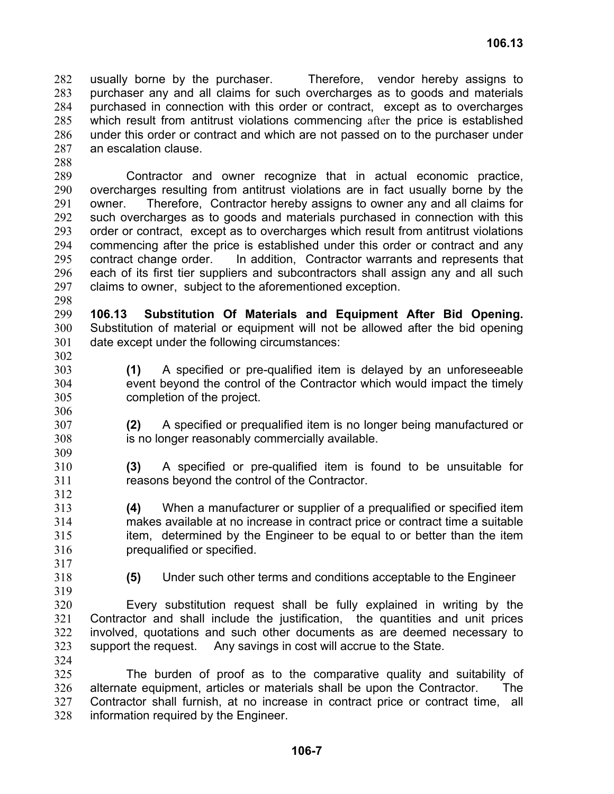usually borne by the purchaser. Therefore, vendor hereby assigns to purchaser any and all claims for such overcharges as to goods and materials purchased in connection with this order or contract, except as to overcharges which result from antitrust violations commencing after the price is established under this order or contract and which are not passed on to the purchaser under an escalation clause. 282 283 284 285 286 287

289 290 291 292 293 294 295 296 297 Contractor and owner recognize that in actual economic practice, overcharges resulting from antitrust violations are in fact usually borne by the owner. Therefore, Contractor hereby assigns to owner any and all claims for such overcharges as to goods and materials purchased in connection with this order or contract, except as to overcharges which result from antitrust violations commencing after the price is established under this order or contract and any contract change order. In addition, Contractor warrants and represents that each of its first tier suppliers and subcontractors shall assign any and all such claims to owner, subject to the aforementioned exception.

298

306

309

312

288

299 300 301 302 **106.13 Substitution Of Materials and Equipment After Bid Opening.** Substitution of material or equipment will not be allowed after the bid opening date except under the following circumstances:

- 303 304 305 **(1)** A specified or pre-qualified item is delayed by an unforeseeable event beyond the control of the Contractor which would impact the timely completion of the project.
- 307 308 **(2)** A specified or prequalified item is no longer being manufactured or is no longer reasonably commercially available.
- 310 311 **(3)** A specified or pre-qualified item is found to be unsuitable for reasons beyond the control of the Contractor.
- 313 314 315 316 **(4)** When a manufacturer or supplier of a prequalified or specified item makes available at no increase in contract price or contract time a suitable item, determined by the Engineer to be equal to or better than the item prequalified or specified.
- 317 318

319

**(5)** Under such other terms and conditions acceptable to the Engineer

320 321 322 323 Every substitution request shall be fully explained in writing by the Contractor and shall include the justification, the quantities and unit prices involved, quotations and such other documents as are deemed necessary to support the request. Any savings in cost will accrue to the State.

324

325 326 327 328 The burden of proof as to the comparative quality and suitability of alternate equipment, articles or materials shall be upon the Contractor. The Contractor shall furnish, at no increase in contract price or contract time, all information required by the Engineer.